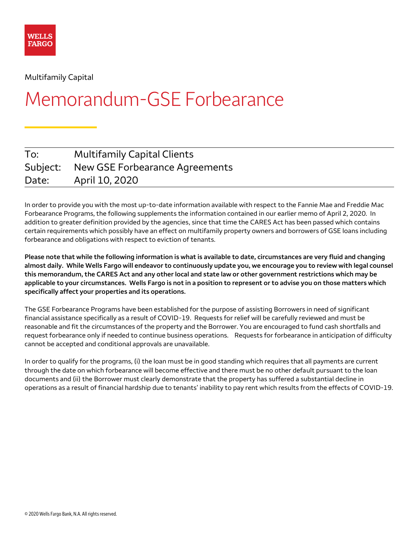

Multifamily Capital

# Memorandum-GSE Forbearance

| To:      | <b>Multifamily Capital Clients</b> |
|----------|------------------------------------|
| Subject: | New GSE Forbearance Agreements     |
| Date:    | April 10, 2020                     |

 Forbearance Programs, the following supplements the information contained in our earlier memo of April 2, 2020. In addition to greater definition provided by the agencies, since that time the CARES Act has been passed which contains  forbearance and obligations with respect to eviction of tenants. In order to provide you with the most up-to-date information available with respect to the Fannie Mae and Freddie Mac certain requirements which possibly have an effect on multifamily property owners and borrowers of GSE loans including

 **Please note that while the following information is what is available to date, circumstances are very fluid and changing almost daily. While Wells Fargo will endeavor to continuously update you, we encourage you to review with legal counsel this memorandum, the CARES Act and any other local and state law or other government restrictions which may be applicable to your circumstances. Wells Fargo is not in a position to represent or to advise you on those matters which specifically affect your properties and its operations.** 

 financial assistance specifically as a result of COVID-19. Requests for relief will be carefully reviewed and must be request forbearance only if needed to continue business operations. Requests for forbearance in anticipation of difficulty cannot be accepted and conditional approvals are unavailable. The GSE Forbearance Programs have been established for the purpose of assisting Borrowers in need of significant reasonable and fit the circumstances of the property and the Borrower. You are encouraged to fund cash shortfalls and

In order to qualify for the programs, (i) the loan must be in good standing which requires that all payments are current through the date on which forbearance will become effective and there must be no other default pursuant to the loan documents and (ii) the Borrower must clearly demonstrate that the property has suffered a substantial decline in operations as a result of financial hardship due to tenants' inability to pay rent which results from the effects of COVID-19.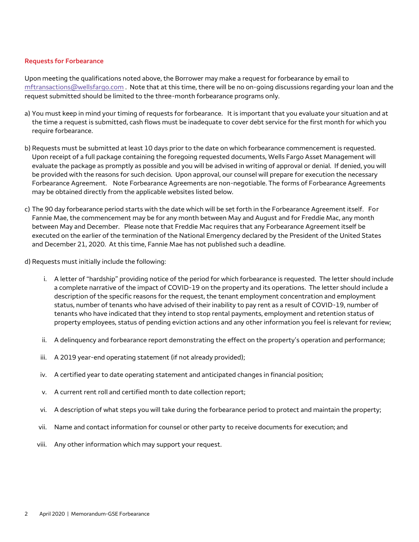#### **Requests for Forbearance**

 $\rm mfransactions@wellsfargo.com$  . Note that at this time, there will be no on-going discussions regarding your loan and the Upon meeting the qualifications noted above, the Borrower may make a request for forbearance by email to request submitted should be limited to the three-month forbearance programs only.

- a) You must keep in mind your timing of requests for forbearance. It is important that you evaluate your situation and at require forbearance. the time a request is submitted, cash flows must be inadequate to cover debt service for the first month for which you
- be provided with the reasons for such decision. Upon approval, our counsel will prepare for execution the necessary Forbearance Agreement. Note Forbearance Agreements are non-negotiable. The forms of Forbearance Agreements require forbearance.<br>.b) Requests must be submitted at least 10 days prior to the date on which forbearance commencement is requested<br>Upon receipt of a full package containing the foregoing requested documents, Wells Fargo evaluate the package as promptly as possible and you will be advised in writing of approval or denial. If denied, you will may be obtained directly from the applicable websites listed below.
- c) The 90 day forbearance period starts with the date which will be set forth in the Forbearance Agreement itself. For between May and December. Please note that Freddie Mac requires that any Forbearance Agreement itself be and December 21, 2020. At this time, Fannie Mae has not published such a deadline. Fannie Mae, the commencement may be for any month between May and August and for Freddie Mac, any month executed on the earlier of the termination of the National Emergency declared by the President of the United States
- d) Requests must initially include the following:
	- i. A letter of "hardship" providing notice of the period for which forbearance is requested. The letter should include a complete narrative of the impact of COVID-19 on the property and its operations. The letter should include a tenants who have indicated that they intend to stop rental payments, employment and retention status of property employees, status of pending eviction actions and any other information you feel is relevant for review; description of the specific reasons for the request, the tenant employment concentration and employment status, number of tenants who have advised of their inability to pay rent as a result of COVID-19, number of
	- ii. A delinguency and forbearance report demonstrating the effect on the property's operation and performance;
	- iii. A 2019 year-end operating statement (if not already provided);
	- iv. A certified year to date operating statement and anticipated changes in financial position;
	- v. A current rent roll and certified month to date collection report;
	- vi. A description of what steps you will take during the forbearance period to protect and maintain the property;
	- vii. Name and contact information for counsel or other party to receive documents for execution; and
	- viii. Any other information which may support your request.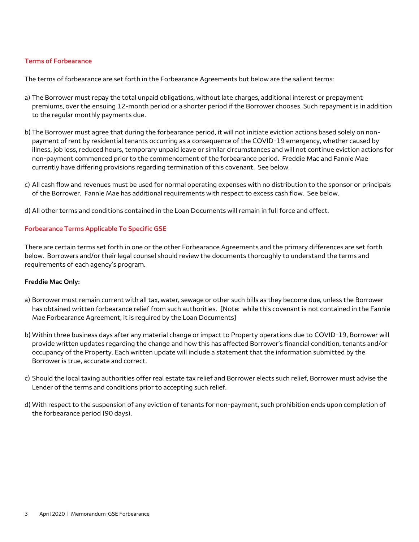#### **Terms of Forbearance**

The terms of forbearance are set forth in the Forbearance Agreements but below are the salient terms:

- a) The Borrower must repay the total unpaid obligations, without late charges, additional interest or prepayment premiums, over the ensuing 12-month period or a shorter period if the Borrower chooses. Such repayment is in addition to the regular monthly payments due.
- non-payment commenced prior to the commencement of the forbearance period. Freddie Mac and Fannie Mae currently have differing provisions regarding termination of this covenant. See below. b) The Borrower must agree that during the forbearance period, it will not initiate eviction actions based solely on nonpayment of rent by residential tenants occurring as a consequence of the COVID-19 emergency, whether caused by illness, job loss, reduced hours, temporary unpaid leave or similar circumstances and will not continue eviction actions for
- c) All cash flow and revenues must be used for normal operating expenses with no distribution to the sponsor or principals of the Borrower. Fannie Mae has additional requirements with respect to excess cash flow. See below.
- d) All other terms and conditions contained in the Loan Documents will remain in full force and effect.

## **Forbearance Terms Applicable To Specific GSE**

 below. Borrowers and/or their legal counsel should review the documents thoroughly to understand the terms and There are certain terms set forth in one or the other Forbearance Agreements and the primary differences are set forth requirements of each agency's program.

#### **Freddie Mac Only:**

- has obtained written forbearance relief from such authorities. [Note: while this covenant is not contained in the Fannie a) Borrower must remain current with all tax, water, sewage or other such bills as they become due, unless the Borrower Mae Forbearance Agreement, it is required by the Loan Documents]
- b) Within three business days after any material change or impact to Property operations due to COVID-19, Borrower will provide written updates regarding the change and how this has affected Borrower's financial condition, tenants and/or occupancy of the Property. Each written update will include a statement that the information submitted by the Borrower is true, accurate and correct.
- c) Should the local taxing authorities offer real estate tax relief and Borrower elects such relief, Borrower must advise the Lender of the terms and conditions prior to accepting such relief.
- d) With respect to the suspension of any eviction of tenants for non-payment, such prohibition ends upon completion of the forbearance period (90 days).